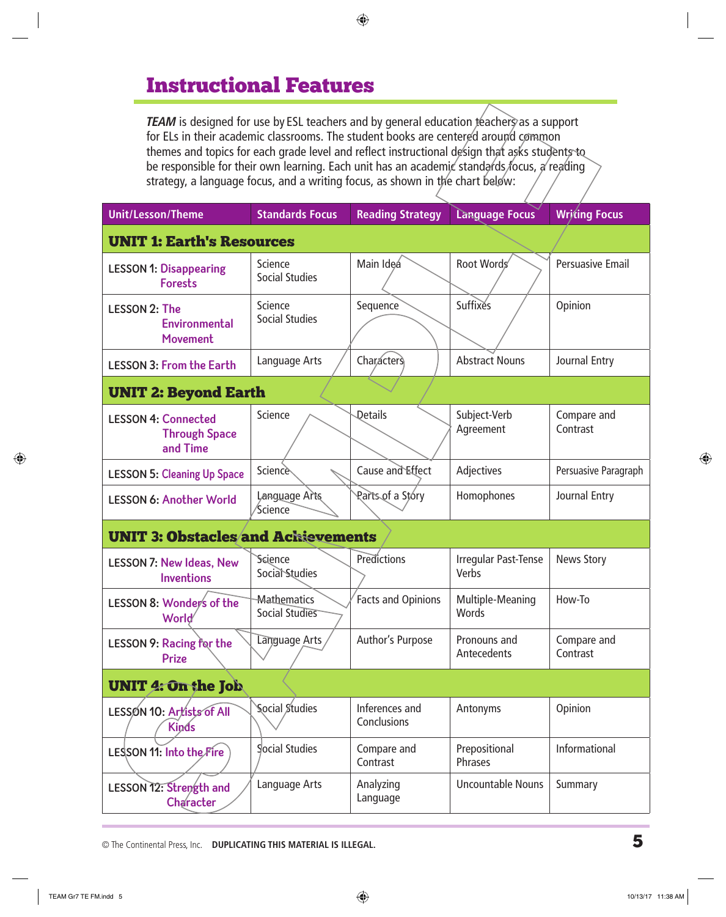# Instructional Features

*TEAM* is designed for use by ESL teachers and by general education teachers as a support for ELs in their academic classrooms. The student books are centered around common themes and topics for each grade level and reflect instructional design that asks students to be responsible for their own learning. Each unit has an academic standards focus, a reading strategy, a language focus, and a writing focus, as shown in the chart below:

| <b>Unit/Lesson/Theme</b>                                       | <b>Standards Focus</b>               | <b>Reading Strategy</b>       | <b>Language Focus</b>                | <b>Writing Focus</b>    |  |
|----------------------------------------------------------------|--------------------------------------|-------------------------------|--------------------------------------|-------------------------|--|
| <b>UNIT 1: Earth's Resources</b>                               |                                      |                               |                                      |                         |  |
| <b>LESSON 1: Disappearing</b><br><b>Forests</b>                | Science<br><b>Social Studies</b>     | Main Ideá                     | Root Words                           | <b>Persuasive Email</b> |  |
| <b>LESSON 2: The</b><br>Environmental<br><b>Movement</b>       | Science<br><b>Social Studies</b>     | Sequence                      | Suffixes                             | Opinion                 |  |
| <b>LESSON 3: From the Earth</b>                                | Language Arts                        | Characters                    | <b>Abstract Nouns</b>                | Journal Entry           |  |
| <b>UNIT 2: Beyond Earth</b>                                    |                                      |                               |                                      |                         |  |
| <b>LESSON 4: Connected</b><br><b>Through Space</b><br>and Time | Science                              | Details                       | Subject-Verb<br>Agreement            | Compare and<br>Contrast |  |
| <b>LESSON 5: Cleaning Up Space</b>                             | Science                              | Cause and Effect              | Adjectives                           | Persuasive Paragraph    |  |
| <b>LESSON 6: Another World</b>                                 | Language Arts<br>Science             | Parts of a Story              | Homophones                           | Journal Entry           |  |
| <b>UNIT 3: Obstacles and Achievements</b>                      |                                      |                               |                                      |                         |  |
| <b>LESSON 7: New Ideas, New</b><br><b>Inventions</b>           | Science<br>Social Studies            | Predictions                   | <b>Irregular Past-Tense</b><br>Verbs | <b>News Story</b>       |  |
| LESSON 8: Wonder's of the<br>World                             | <b>Mathematics</b><br>Social Studies | <b>Facts and Opinions</b>     | Multiple-Meaning<br>Words            | How-To                  |  |
| LESSON 9: Racing for the<br><b>Prize</b>                       | Language Arts                        | Author's Purpose              | Pronouns and<br>Antecedents          | Compare and<br>Contrast |  |
| <b>UNIT 4: On the Job</b>                                      |                                      |                               |                                      |                         |  |
| LESSON 10: Artists of All<br><b>Kinds</b>                      | Social Studies                       | Inferences and<br>Conclusions | Antonyms                             | Opinion                 |  |
| LESSON 11: Into the Fire                                       | Social Studies                       | Compare and<br>Contrast       | Prepositional<br>Phrases             | Informational           |  |
| LESSON 12: Strength and<br>Character                           | Language Arts                        | Analyzing<br>Language         | <b>Uncountable Nouns</b>             | Summary                 |  |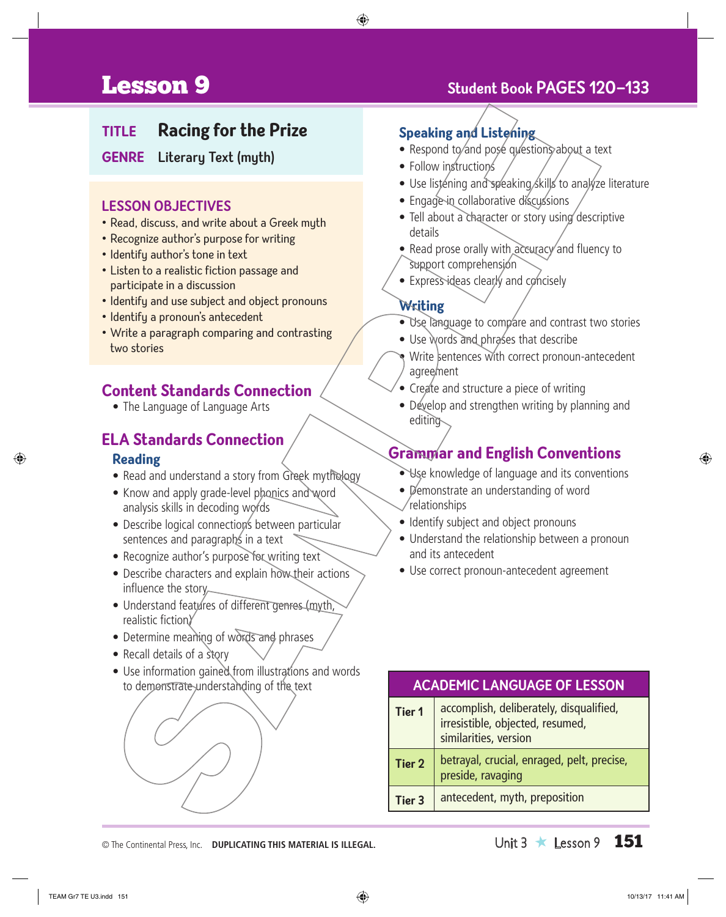# Lesson 9 **Student Book Pages 120–133**

#### **Title Racing for the Prize**

**Genre Literary Text (myth)**

#### **LESSON OBJECTIVES**

- Read, discuss, and write about a Greek myth
- Recognize author's purpose for writing
- Identify author's tone in text
- Listen to a realistic fiction passage and participate in a discussion
- Identify and use subject and object pronouns
- Identify a pronoun's antecedent
- Write a paragraph comparing and contrasting two stories

#### **Content Standards Connection**

• The Language of Language Arts

#### **ELA Standards Connection**

#### **Reading**

- Read and understand a story from Greek mythology
- Know and apply grade-level phonics and word analysis skills in decoding words
- Describe logical connections between particular sentences and paragraphs in a text
- Recognize author's purpose for writing text
- Describe characters and explain how their actions influence the story
- Understand features of different genres (myth, realistic fiction)
- Determine meaning of words and phrases
- Recall details of a story
- Use information gained from illustrations and words to demonstrate understanding of the text

#### **Speaking and Listening**

- Respond to and pose questions about a text
- Follow instructions
- Use listening and speaking skills to analyze literature
- Engage in collaborative discussions
- Tell about a character or story using descriptive details
- Read prose orally with accuracy and fluency to support comprehension
- Express ideas clearly and concisely

#### **Writing**

- Use language to compare and contrast two stories
- Use words and phrases that describe
- Write sentences with correct pronoun-antecedent agreement
- Create and structure a piece of writing
- Develop and strengthen writing by planning and editing

### **Grammar and English Conventions**

- Use knowledge of language and its conventions
- Demonstrate an understanding of word relationships
- Identify subject and object pronouns
- Understand the relationship between a pronoun and its antecedent
- Use correct pronoun-antecedent agreement

| <b>ACADEMIC LANGUAGE OF LESSON</b> |                                                                                                      |  |
|------------------------------------|------------------------------------------------------------------------------------------------------|--|
| Tier 1                             | accomplish, deliberately, disqualified,<br>irresistible, objected, resumed,<br>similarities, version |  |
| Tier 2                             | betrayal, crucial, enraged, pelt, precise,<br>preside, ravaging                                      |  |
| <b>Tier 3</b>                      | antecedent, myth, preposition                                                                        |  |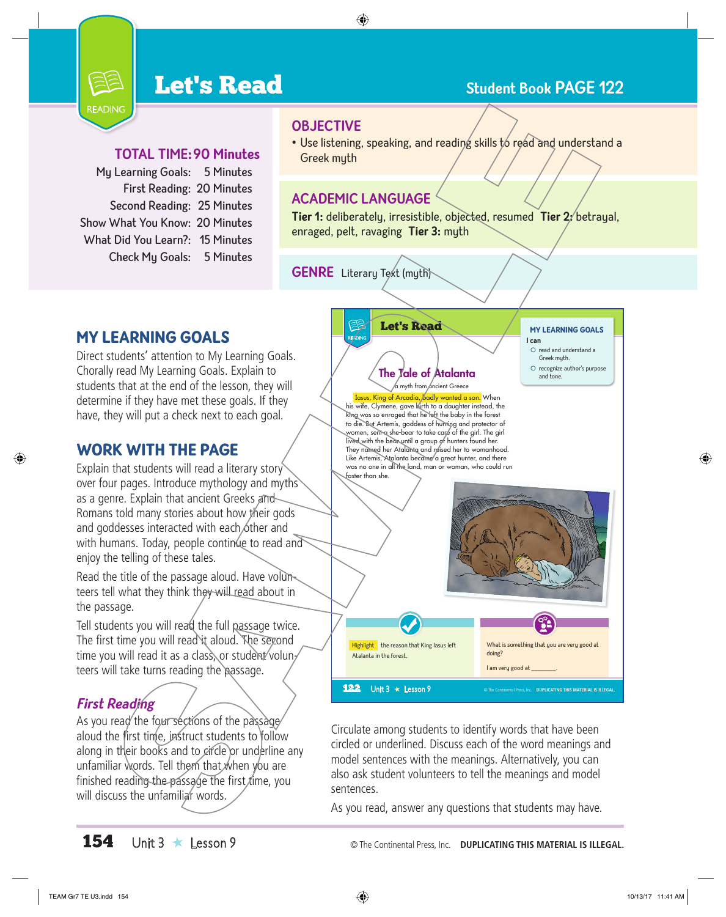# **Let's Read Student Book PAGE 122**



#### **Total Time:90 Minutes**

| My Learning Goals: 5 Minutes    |
|---------------------------------|
| First Reading: 20 Minutes       |
| Second Reading: 25 Minutes      |
| Show What You Know: 20 Minutes  |
| What Did You Learn?: 15 Minutes |
| Check My Goals: 5 Minutes       |
|                                 |

- **OBJECTIVE**
- Use listening, speaking, and reading skills to read and understand a Greek myth

#### **Academic Language**

**Tier 1:** deliberately, irresistible, objected, resumed **Tier 2:** betrayal, enraged, pelt, ravaging **Tier 3:** myth

**GENRE**  Literary Text (myth)

#### MY LEARNING GOALS

Direct students' attention to My Learning Goals. Chorally read My Learning Goals. Explain to students that at the end of the lesson, they will determine if they have met these goals. If they have, they will put a check next to each goal.

#### WORK WITH THE PAGE

Explain that students will read a literary story over four pages. Introduce mythology and myths as a genre. Explain that ancient Greeks and Romans told many stories about how their gods and goddesses interacted with each other and with humans. Today, people continue to read and enjoy the telling of these tales.

Read the title of the passage aloud. Have volunteers tell what they think they will read about in the passage.

Tell students you will read the full passage twice. The first time you will read it aloud. The second time you will read it as a class, or student volunteers will take turns reading the passage.

#### **First Reading**

As you read the four sections of the passage aloud the first time, instruct students to follow along in their books and to circle or underline any unfamiliar words. Tell them that when you are finished reading the passage the first  $t$ ime, you will discuss the unfamiliar words.

Let's Read READING

#### My Learning goaLs **I can**

- $O$  read and understand a
- Greek myth. The  $\mathcal{I}$ ale of Atalanta  $\overline{\mathcal{I}}$  and tone

 $\sqrt{a}$  myth from ancient Greece Iasus, King of Arcadia, badly wanted a son. When his wife, Clymene, gave birth to a daughter instead, the king was so enraged that he left the baby in the forest to die. But Artemis, goddess of hunting and protector of women, sent a she-bear to take care of the girl. The girl lived with the bear until a group of hunters found her. They named her Atalanta and raised her to womanhood. Like Artemis, Atalanta became a great hunter, and there was no one in all the land, man or woman, who could run faster than she.



Circulate among students to identify words that have been circled or underlined. Discuss each of the word meanings and model sentences with the meanings. Alternatively, you can also ask student volunteers to tell the meanings and model sentences.

As you read, answer any questions that students may have.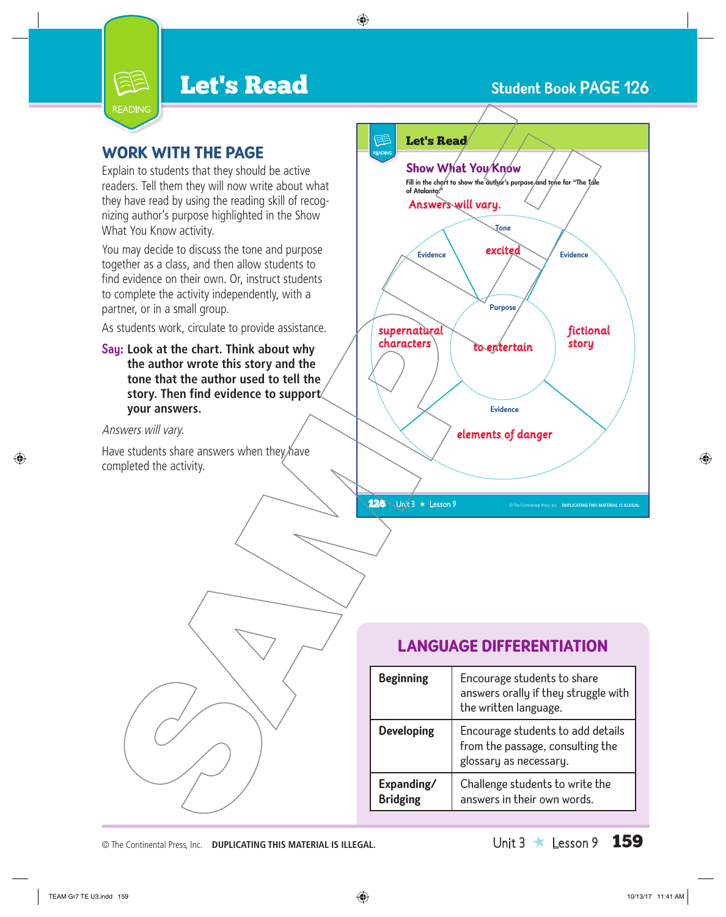# **Let's Read Student Book PAGE 126**



#### WORK WITH THE PAGE

Explain to students that they should be active readers. Tell them they will now write about what they have read by using the reading skill of recognizing author's purpose highlighted in the Show What You Know activity.

You may decide to discuss the tone and purpose together as a class, and then allow students to find evidence on their own. Or, instruct students to complete the activity independently, with a partner, or in a small group.

As students work, circulate to provide assistance.

**Say: Look at the chart. Think about why the author wrote this story and the tone that the author used to tell the story. Then find evidence to support your answers.** 

Answers will vary.

Have students share answers when they have completed the activity.



### **LANGUAGE DIFFERENTIATION**

| <b>Beginning</b>              | Encourage students to share<br>answers orally if they struggle with<br>the written language.    |
|-------------------------------|-------------------------------------------------------------------------------------------------|
| <b>Developing</b>             | Encourage students to add details<br>from the passage, consulting the<br>glossary as necessary. |
| Expanding/<br><b>Bridging</b> | Challenge students to write the<br>answers in their own words.                                  |